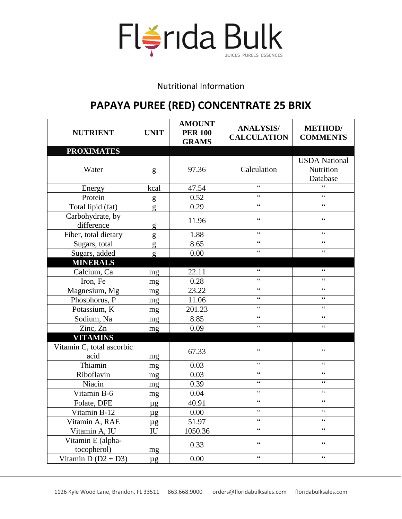

## Nutritional Information

## **PAPAYA PUREE (RED) CONCENTRATE 25 BRIX**

| <b>NUTRIENT</b>                   | <b>UNIT</b>                | <b>AMOUNT</b><br><b>PER 100</b><br><b>GRAMS</b> | <b>ANALYSIS/</b><br><b>CALCULATION</b>            | <b>METHOD</b> /<br><b>COMMENTS</b>                |
|-----------------------------------|----------------------------|-------------------------------------------------|---------------------------------------------------|---------------------------------------------------|
| <b>PROXIMATES</b>                 |                            |                                                 |                                                   |                                                   |
| Water                             | g                          | 97.36                                           | Calculation                                       | <b>USDA</b> National<br>Nutrition<br>Database     |
| Energy                            | kcal                       | 47.54                                           | $\epsilon$                                        | $\epsilon$                                        |
| Protein                           | g                          | 0.52                                            | $\epsilon$                                        | $\epsilon$                                        |
| Total lipid (fat)                 | g                          | 0.29                                            | $\boldsymbol{\varsigma}$ $\boldsymbol{\varsigma}$ | $\epsilon$                                        |
| Carbohydrate, by<br>difference    | g                          | 11.96                                           | $\zeta \zeta$                                     | $\zeta \zeta$                                     |
| Fiber, total dietary              | g                          | 1.88                                            | $\zeta$ $\zeta$                                   | $\epsilon$                                        |
| Sugars, total                     | g                          | 8.65                                            | $\epsilon$                                        | $\epsilon$                                        |
| Sugars, added                     | g                          | 0.00                                            | $\zeta \zeta$                                     | $\epsilon$                                        |
| <b>MINERALS</b>                   |                            |                                                 |                                                   |                                                   |
| Calcium, Ca                       | mg                         | 22.11                                           | $\zeta$ $\zeta$                                   | $\zeta \zeta$                                     |
| Iron, Fe                          | mg                         | 0.28                                            | $\zeta \zeta$                                     | $\epsilon$                                        |
| Magnesium, Mg                     | mg                         | 23.22                                           | $\epsilon$                                        | $\epsilon$                                        |
| Phosphorus, P                     | mg                         | 11.06                                           | $\zeta$ $\zeta$                                   | $\zeta \zeta$                                     |
| Potassium, K                      | mg                         | 201.23                                          | $\zeta$ $\zeta$                                   | $\boldsymbol{\zeta} \, \boldsymbol{\zeta}$        |
| Sodium, Na                        | mg                         | 8.85                                            | $\zeta$ $\zeta$                                   | $\zeta \zeta$                                     |
| Zinc, Zn                          | mg                         | 0.09                                            | $\zeta$ $\zeta$                                   | $\boldsymbol{\zeta} \, \boldsymbol{\zeta}$        |
| <b>VITAMINS</b>                   |                            |                                                 |                                                   |                                                   |
| Vitamin C, total ascorbic<br>acid | mg                         | 67.33                                           | $\boldsymbol{\varsigma}$ $\boldsymbol{\varsigma}$ | $\boldsymbol{\varsigma}$ $\boldsymbol{\varsigma}$ |
| Thiamin                           | mg                         | 0.03                                            | $\zeta \zeta$                                     | $\epsilon$                                        |
| Riboflavin                        | mg                         | 0.03                                            | $\zeta \zeta$                                     | $\epsilon$                                        |
| Niacin                            | mg                         | 0.39                                            | $\zeta$ $\zeta$                                   | $\boldsymbol{\zeta} \, \boldsymbol{\zeta}$        |
| Vitamin B-6                       | mg                         | 0.04                                            | $\epsilon$                                        | $\epsilon$                                        |
| Folate, DFE                       | $\mu$ g                    | 40.91                                           | $\zeta$ $\zeta$                                   | $\zeta$ $\zeta$                                   |
| Vitamin B-12                      | $\mu$ g                    | 0.00                                            | $\zeta$ $\zeta$                                   | $\boldsymbol{\varsigma}$ $\boldsymbol{\varsigma}$ |
| Vitamin A, RAE                    | $\mu$ g                    | 51.97                                           | $\zeta \zeta$                                     | $\epsilon$                                        |
| Vitamin A, IU                     | $\mathop{\rm IU}\nolimits$ | 1050.36                                         | $\boldsymbol{\varsigma}$ $\boldsymbol{\varsigma}$ | $\boldsymbol{\varsigma}$ $\boldsymbol{\varsigma}$ |
| Vitamin E (alpha-<br>tocopherol)  | mg                         | 0.33                                            | $\epsilon$                                        | $\epsilon$                                        |
| Vitamin D $(D2 + D3)$             | $\mu$ g                    | 0.00                                            | $\boldsymbol{\varsigma}$ $\boldsymbol{\varsigma}$ | $\boldsymbol{\zeta} \, \boldsymbol{\zeta}$        |